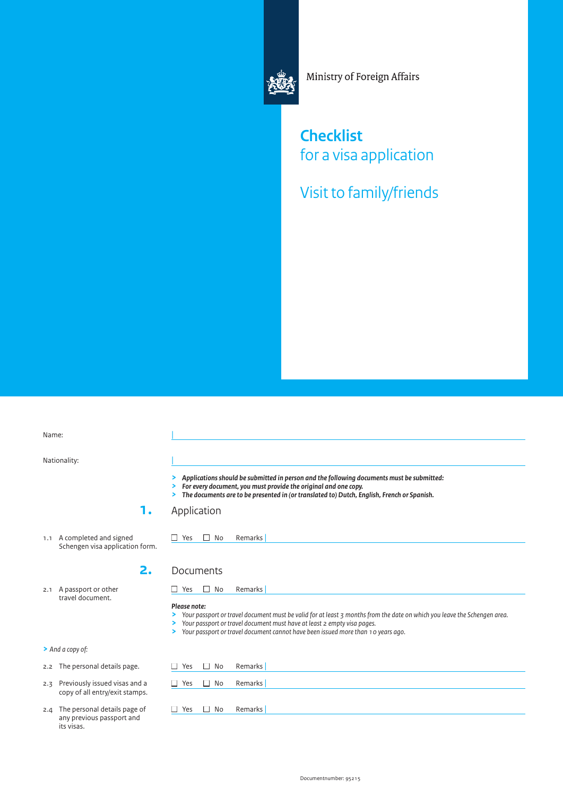

Ministry of Foreign Affairs

**Checklist** for a visa application

Visit to family/friends

Name: Nationality: 1. **Application** 1.1 A completed and signed Schengen visa application form.  **2.** Documents 2.1 A passport or other travel document. **>** *And a copy of:* 2.2 The personal details page. 2.3 Previously issued visas and a copy of all entry/exit stamps. | | **>** *Applications should be submitted in person and the following documents must be submitted: > For every document, you must provide the original and one copy. > The documents are to be presented in (or translated to) Dutch, English, French or Spanish.*  $\Box$  Yes  $\Box$  No Remarks  $\Box$  Yes  $\Box$  No Remarks *Please note:* **>** *Your passport or travel document must be valid for at least 3 months from the date on which you leave the Schengen area.* **>** *Your passport or travel document must have at least 2 empty visa pages.* **>** *Your passport or travel document cannot have been issued more than 10 years ago.* □ Yes □ No Remarks  $\Box$  Yes  $\Box$  No Remarks

 $\Box$  Yes  $\Box$  No Remarks

2.4 The personal details page of any previous passport and its visas.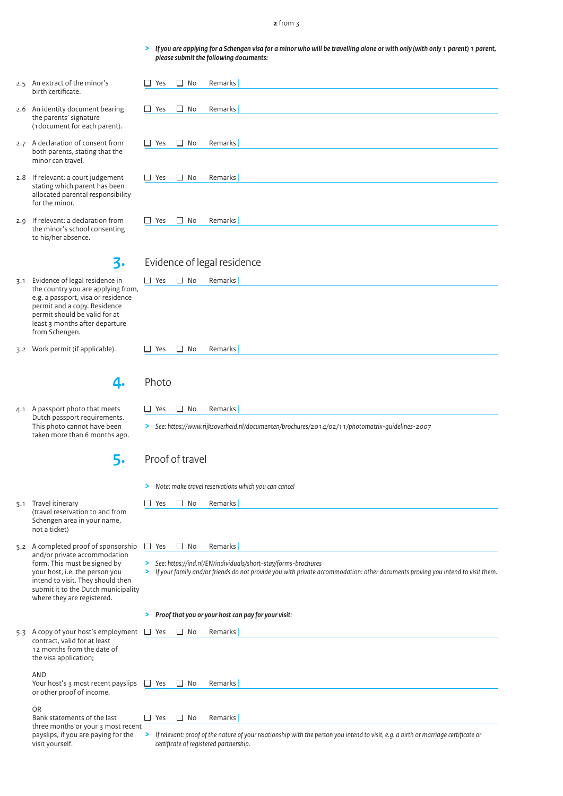## **2** from 3

**>** *If you are applying for a Schengen visa for a minor who will be travelling alone or with only (with only 1 parent) 1 parent, please submit the following documents:*

|  | 2.5 An extract of the minor's                                                                                                                                                                                                                    | Yes            | No<br>$\Box$    | Remarks                                |                                                                                                                                                                                                   |
|--|--------------------------------------------------------------------------------------------------------------------------------------------------------------------------------------------------------------------------------------------------|----------------|-----------------|----------------------------------------|---------------------------------------------------------------------------------------------------------------------------------------------------------------------------------------------------|
|  | birth certificate.                                                                                                                                                                                                                               |                |                 |                                        |                                                                                                                                                                                                   |
|  | 2.6 An identity document bearing<br>the parents' signature<br>(1 document for each parent).                                                                                                                                                      | $\Box$ Yes     | $\Box$ No       | Remarks                                |                                                                                                                                                                                                   |
|  | 2.7 A declaration of consent from<br>both parents, stating that the<br>minor can travel.                                                                                                                                                         | $\Box$ Yes     | $\Box$ No       | Remarks                                |                                                                                                                                                                                                   |
|  | 2.8 If relevant: a court judgement<br>stating which parent has been<br>allocated parental responsibility<br>for the minor.                                                                                                                       | $\Box$ Yes     | $\Box$ No       | Remarks                                |                                                                                                                                                                                                   |
|  | 2.9 If relevant: a declaration from<br>the minor's school consenting<br>to his/her absence.                                                                                                                                                      | $\Box$ Yes     | $\Box$ No       | Remarks                                |                                                                                                                                                                                                   |
|  | 3.                                                                                                                                                                                                                                               |                |                 | Evidence of legal residence            |                                                                                                                                                                                                   |
|  | 3.1 Evidence of legal residence in<br>the country you are applying from,<br>e.g. a passport, visa or residence<br>permit and a copy. Residence<br>permit should be valid for at<br>least 3 months after departure<br>from Schengen.              | $\Box$ Yes     | $\Box$ No       | Remarks                                |                                                                                                                                                                                                   |
|  | 3.2 Work permit (if applicable).                                                                                                                                                                                                                 | Yes<br>$\perp$ | $\Box$ No       | Remarks                                |                                                                                                                                                                                                   |
|  | 4.                                                                                                                                                                                                                                               | Photo          |                 |                                        |                                                                                                                                                                                                   |
|  | 4.1 A passport photo that meets<br>Dutch passport requirements.<br>This photo cannot have been<br>taken more than 6 months ago.                                                                                                                  | $\Box$ Yes     | $\Box$ No       | Remarks                                |                                                                                                                                                                                                   |
|  |                                                                                                                                                                                                                                                  |                |                 |                                        | > See: https://www.rijksoverheid.nl/documenten/brochures/2014/02/11/photomatrix-quidelines-2007                                                                                                   |
|  | 5.                                                                                                                                                                                                                                               |                | Proof of travel |                                        |                                                                                                                                                                                                   |
|  |                                                                                                                                                                                                                                                  |                |                 |                                        | > Note: make travel reservations which you can cancel                                                                                                                                             |
|  | 5.1 Travel itinerary<br>(travel reservation to and from<br>Schengen area in your name,<br>not a ticket)                                                                                                                                          | П<br>Yes       | $\Box$ No       | Remarks                                |                                                                                                                                                                                                   |
|  | 5.2 A completed proof of sponsorship<br>and/or private accommodation<br>form. This must be signed by<br>your host, i.e. the person you<br>intend to visit. They should then<br>submit it to the Dutch municipality<br>where they are registered. | $\Box$ Yes     | $\Box$ No       | Remarks                                |                                                                                                                                                                                                   |
|  |                                                                                                                                                                                                                                                  | ⋗              |                 |                                        | > See: https://ind.nl/EN/individuals/short-stay/forms-brochures<br>If your family and/or friends do not provide you with private accommodation: other documents proving you intend to visit them. |
|  |                                                                                                                                                                                                                                                  |                |                 |                                        | > Proof that you or your host can pay for your visit:                                                                                                                                             |
|  | 5.3 A copy of your host's employment $\Box$ Yes $\Box$ No<br>contract, valid for at least<br>12 months from the date of<br>the visa application;                                                                                                 |                |                 | Remarks                                |                                                                                                                                                                                                   |
|  | AND<br>Your host's $\overline{3}$ most recent payslips $\Box$ Yes<br>or other proof of income.                                                                                                                                                   |                | $\Box$ No       | Remarks                                |                                                                                                                                                                                                   |
|  | <b>OR</b><br>Bank statements of the last<br>three months or your 3 most recent                                                                                                                                                                   | Yes<br>$\Box$  | $\Box$ No       | Remarks                                |                                                                                                                                                                                                   |
|  | payslips, if you are paying for the<br>visit yourself.                                                                                                                                                                                           | ⋗              |                 | certificate of registered partnership. | If relevant: proof of the nature of your relationship with the person you intend to visit, e.g. a birth or marriage certificate or                                                                |

- 2.5 An extract of the minor's birth certificate.
- 2.6 An identity document bearing the parents' signature (1document for each parent).
- 2.7 A declaration of consent from both parents, stating that the minor can travel.
- 2.8 If relevant: a court judgement stating which parent has been allocated parental responsibility for the minor.
- 2.9 If relevant: a declaration from the minor's school consenting to his/her absence.



- 4.1 A passport photo that meets Dutch passport requirements. This photo cannot have been taken more than 6 months ago
- 5.1 Travel itinerary (travel reservation to and from Schengen area in your name, not a ticket)
- 5.2 A completed proof of sponsors and/or private accommodation form. This must be signed by your host, i.e. the person you intend to visit. They should the submit it to the Dutch municip where they are registered.
- 5.3 A copy of your host's employm contract, valid for at least 12 months from the date of the visa application;

## AND

## OR